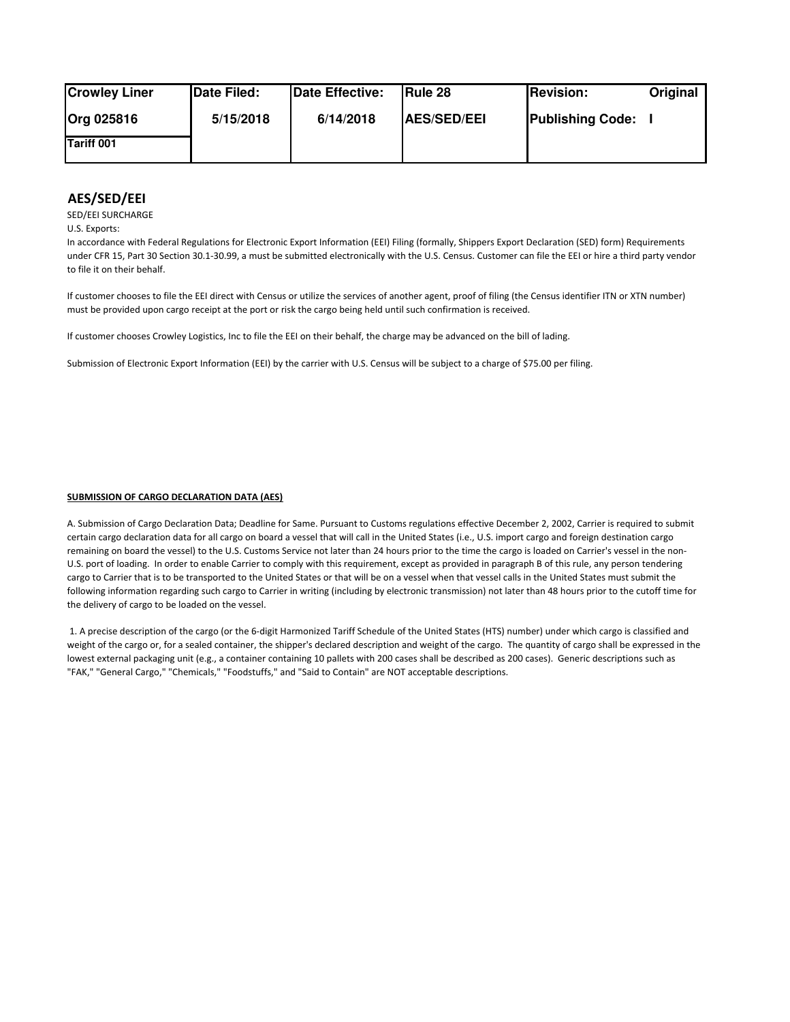| <b>Crowley Liner</b> | Date Filed: | Date Effective: | <b>IRule 28</b>    | <b>Revision:</b>        | Original |
|----------------------|-------------|-----------------|--------------------|-------------------------|----------|
| <b>Org 025816</b>    | 5/15/2018   | 6/14/2018       | <b>AES/SED/EEI</b> | <b>Publishing Code:</b> |          |
| <b>Tariff 001</b>    |             |                 |                    |                         |          |

## **AES/SED/EEI**

SED/EEI SURCHARGE

U.S. Exports:

In accordance with Federal Regulations for Electronic Export Information (EEI) Filing (formally, Shippers Export Declaration (SED) form) Requirements under CFR 15, Part 30 Section 30.1-30.99, a must be submitted electronically with the U.S. Census. Customer can file the EEI or hire a third party vendor to file it on their behalf.

If customer chooses to file the EEI direct with Census or utilize the services of another agent, proof of filing (the Census identifier ITN or XTN number) must be provided upon cargo receipt at the port or risk the cargo being held until such confirmation is received.

If customer chooses Crowley Logistics, Inc to file the EEI on their behalf, the charge may be advanced on the bill of lading.

Submission of Electronic Export Information (EEI) by the carrier with U.S. Census will be subject to a charge of \$75.00 per filing.

## **SUBMISSION OF CARGO DECLARATION DATA (AES)**

A. Submission of Cargo Declaration Data; Deadline for Same. Pursuant to Customs regulations effective December 2, 2002, Carrier is required to submit certain cargo declaration data for all cargo on board a vessel that will call in the United States (i.e., U.S. import cargo and foreign destination cargo remaining on board the vessel) to the U.S. Customs Service not later than 24 hours prior to the time the cargo is loaded on Carrier's vessel in the non-U.S. port of loading. In order to enable Carrier to comply with this requirement, except as provided in paragraph B of this rule, any person tendering cargo to Carrier that is to be transported to the United States or that will be on a vessel when that vessel calls in the United States must submit the following information regarding such cargo to Carrier in writing (including by electronic transmission) not later than 48 hours prior to the cutoff time for the delivery of cargo to be loaded on the vessel.

 1. A precise description of the cargo (or the 6-digit Harmonized Tariff Schedule of the United States (HTS) number) under which cargo is classified and weight of the cargo or, for a sealed container, the shipper's declared description and weight of the cargo. The quantity of cargo shall be expressed in the lowest external packaging unit (e.g., a container containing 10 pallets with 200 cases shall be described as 200 cases). Generic descriptions such as "FAK," "General Cargo," "Chemicals," "Foodstuffs," and "Said to Contain" are NOT acceptable descriptions.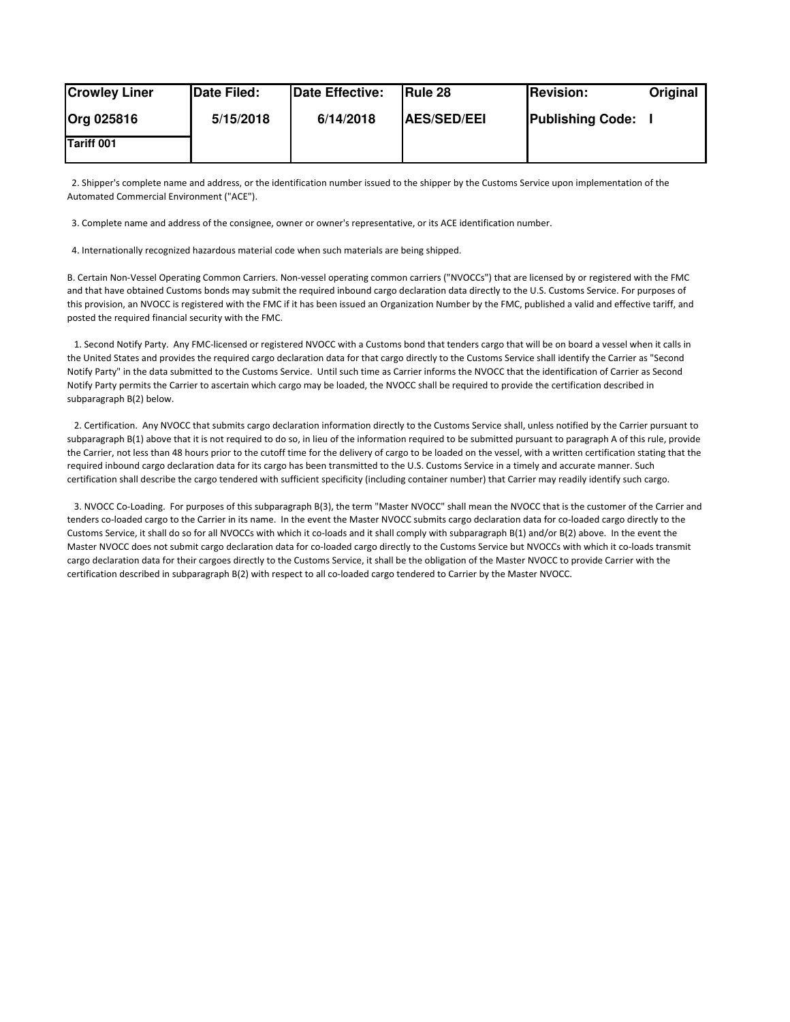| <b>Crowley Liner</b> | Date Filed: | Date Effective: | <b>IRule 28</b>    | <b>Revision:</b>        | Original |
|----------------------|-------------|-----------------|--------------------|-------------------------|----------|
| Org 025816           | 5/15/2018   | 6/14/2018       | <b>AES/SED/EEI</b> | <b>Publishing Code:</b> |          |
| Tariff 001           |             |                 |                    |                         |          |

 2. Shipper's complete name and address, or the identification number issued to the shipper by the Customs Service upon implementation of the Automated Commercial Environment ("ACE").

3. Complete name and address of the consignee, owner or owner's representative, or its ACE identification number.

4. Internationally recognized hazardous material code when such materials are being shipped.

B. Certain Non-Vessel Operating Common Carriers. Non-vessel operating common carriers ("NVOCCs") that are licensed by or registered with the FMC and that have obtained Customs bonds may submit the required inbound cargo declaration data directly to the U.S. Customs Service. For purposes of this provision, an NVOCC is registered with the FMC if it has been issued an Organization Number by the FMC, published a valid and effective tariff, and posted the required financial security with the FMC.

 1. Second Notify Party. Any FMC-licensed or registered NVOCC with a Customs bond that tenders cargo that will be on board a vessel when it calls in the United States and provides the required cargo declaration data for that cargo directly to the Customs Service shall identify the Carrier as "Second Notify Party" in the data submitted to the Customs Service. Until such time as Carrier informs the NVOCC that the identification of Carrier as Second Notify Party permits the Carrier to ascertain which cargo may be loaded, the NVOCC shall be required to provide the certification described in subparagraph B(2) below.

 2. Certification. Any NVOCC that submits cargo declaration information directly to the Customs Service shall, unless notified by the Carrier pursuant to subparagraph B(1) above that it is not required to do so, in lieu of the information required to be submitted pursuant to paragraph A of this rule, provide the Carrier, not less than 48 hours prior to the cutoff time for the delivery of cargo to be loaded on the vessel, with a written certification stating that the required inbound cargo declaration data for its cargo has been transmitted to the U.S. Customs Service in a timely and accurate manner. Such certification shall describe the cargo tendered with sufficient specificity (including container number) that Carrier may readily identify such cargo.

 3. NVOCC Co-Loading. For purposes of this subparagraph B(3), the term "Master NVOCC" shall mean the NVOCC that is the customer of the Carrier and tenders co-loaded cargo to the Carrier in its name. In the event the Master NVOCC submits cargo declaration data for co-loaded cargo directly to the Customs Service, it shall do so for all NVOCCs with which it co-loads and it shall comply with subparagraph B(1) and/or B(2) above. In the event the Master NVOCC does not submit cargo declaration data for co-loaded cargo directly to the Customs Service but NVOCCs with which it co-loads transmit cargo declaration data for their cargoes directly to the Customs Service, it shall be the obligation of the Master NVOCC to provide Carrier with the certification described in subparagraph B(2) with respect to all co-loaded cargo tendered to Carrier by the Master NVOCC.